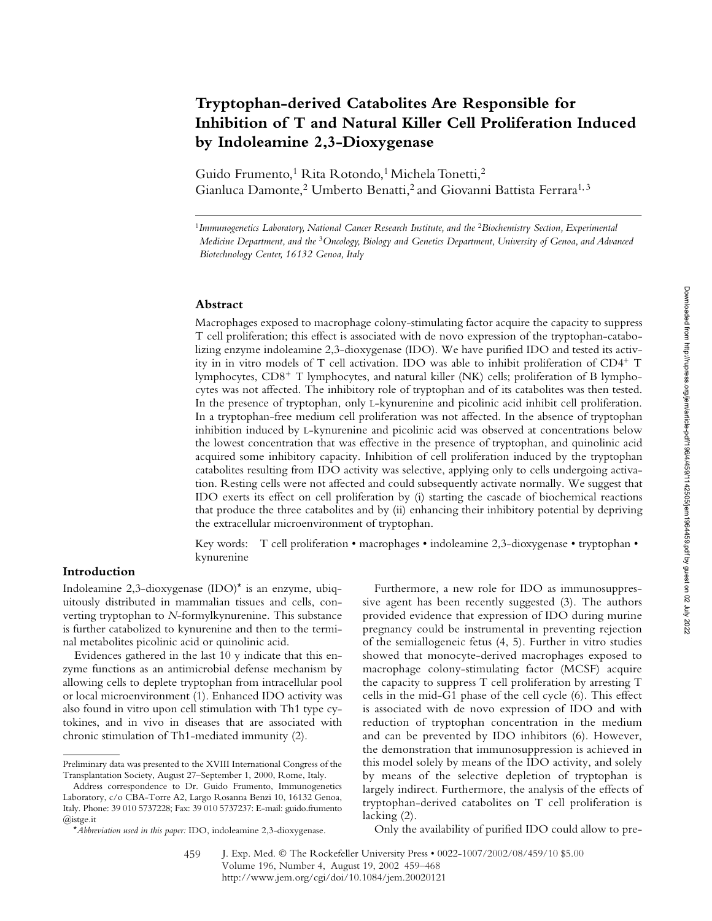# **Tryptophan-derived Catabolites Are Responsible for Inhibition of T and Natural Killer Cell Proliferation Induced by Indoleamine 2,3-Dioxygenase**

Guido Frumento,<sup>1</sup> Rita Rotondo,<sup>1</sup> Michela Tonetti,<sup>2</sup> Gianluca Damonte,<sup>2</sup> Umberto Benatti,<sup>2</sup> and Giovanni Battista Ferrara<sup>1,3</sup>

## **Abstract**

Macrophages exposed to macrophage colony-stimulating factor acquire the capacity to suppress T cell proliferation; this effect is associated with de novo expression of the tryptophan-catabolizing enzyme indoleamine 2,3-dioxygenase (IDO). We have purified IDO and tested its activity in in vitro models of T cell activation. IDO was able to inhibit proliferation of CD4<sup>+</sup> T lymphocytes, CD8<sup>+</sup> T lymphocytes, and natural killer (NK) cells; proliferation of B lymphocytes was not affected. The inhibitory role of tryptophan and of its catabolites was then tested. In the presence of tryptophan, only L-kynurenine and picolinic acid inhibit cell proliferation. In a tryptophan-free medium cell proliferation was not affected. In the absence of tryptophan inhibition induced by L-kynurenine and picolinic acid was observed at concentrations below the lowest concentration that was effective in the presence of tryptophan, and quinolinic acid acquired some inhibitory capacity. Inhibition of cell proliferation induced by the tryptophan catabolites resulting from IDO activity was selective, applying only to cells undergoing activation. Resting cells were not affected and could subsequently activate normally. We suggest that IDO exerts its effect on cell proliferation by (i) starting the cascade of biochemical reactions that produce the three catabolites and by (ii) enhancing their inhibitory potential by depriving the extracellular microenvironment of tryptophan.

Key words: T cell proliferation • macrophages • indoleamine 2,3-dioxygenase • tryptophan • kynurenine

## **Introduction**

Indoleamine 2,3-dioxygenase (IDO)\* is an enzyme, ubiquitously distributed in mammalian tissues and cells, converting tryptophan to *N*-formylkynurenine. This substance is further catabolized to kynurenine and then to the terminal metabolites picolinic acid or quinolinic acid.

Evidences gathered in the last 10 y indicate that this enzyme functions as an antimicrobial defense mechanism by allowing cells to deplete tryptophan from intracellular pool or local microenvironment (1). Enhanced IDO activity was also found in vitro upon cell stimulation with Th1 type cytokines, and in vivo in diseases that are associated with chronic stimulation of Th1-mediated immunity (2).

Furthermore, a new role for IDO as immunosuppressive agent has been recently suggested (3). The authors provided evidence that expression of IDO during murine pregnancy could be instrumental in preventing rejection of the semiallogeneic fetus (4, 5). Further in vitro studies showed that monocyte-derived macrophages exposed to macrophage colony-stimulating factor (MCSF) acquire the capacity to suppress T cell proliferation by arresting T cells in the mid-G1 phase of the cell cycle (6). This effect is associated with de novo expression of IDO and with reduction of tryptophan concentration in the medium and can be prevented by IDO inhibitors (6). However, the demonstration that immunosuppression is achieved in this model solely by means of the IDO activity, and solely by means of the selective depletion of tryptophan is largely indirect. Furthermore, the analysis of the effects of tryptophan-derived catabolites on T cell proliferation is lacking (2).

<sup>&</sup>lt;sup>1</sup>Immunogenetics Laboratory, National Cancer Research Institute, and the <sup>2</sup>*Biochemistry Section*, Experimental *Medicine Department, and the* <sup>3</sup>*Oncology, Biology and Genetics Department, University of Genoa, and Advanced Biotechnology Center, 16132 Genoa, Italy*

Preliminary data was presented to the XVIII International Congress of the Transplantation Society, August 27–September 1, 2000, Rome, Italy.

Address correspondence to Dr. Guido Frumento, Immunogenetics Laboratory, c/o CBA-Torre A2, Largo Rosanna Benzi 10, 16132 Genoa, Italy. Phone: 39 010 5737228; Fax: 39 010 5737237: E-mail: guido.frumento @istge.it

<sup>\*</sup>*Abbreviation used in this paper:* IDO, indoleamine 2,3-dioxygenase.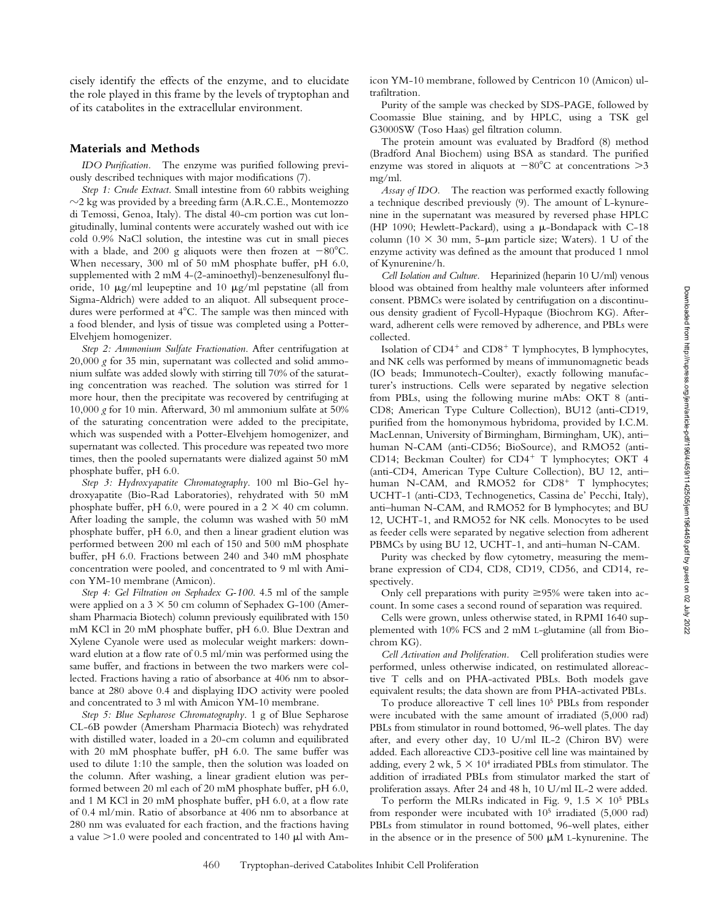cisely identify the effects of the enzyme, and to elucidate the role played in this frame by the levels of tryptophan and of its catabolites in the extracellular environment.

#### **Materials and Methods**

*IDO Purification.* The enzyme was purified following previously described techniques with major modifications (7).

*Step 1: Crude Extract*. Small intestine from 60 rabbits weighing  $\sim$ 2 kg was provided by a breeding farm (A.R.C.E., Montemozzo di Temossi, Genoa, Italy). The distal 40-cm portion was cut longitudinally, luminal contents were accurately washed out with ice cold 0.9% NaCl solution, the intestine was cut in small pieces with a blade, and 200 g aliquots were then frozen at  $-80^{\circ}$ C. When necessary, 300 ml of 50 mM phosphate buffer, pH 6.0, supplemented with 2 mM 4-(2-aminoethyl)-benzenesulfonyl fluoride, 10  $\mu$ g/ml leupeptine and 10  $\mu$ g/ml pepstatine (all from Sigma-Aldrich) were added to an aliquot. All subsequent procedures were performed at 4°C. The sample was then minced with a food blender, and lysis of tissue was completed using a Potter-Elvehjem homogenizer.

*Step 2: Ammonium Sulfate Fractionation*. After centrifugation at 20,000 *g* for 35 min, supernatant was collected and solid ammonium sulfate was added slowly with stirring till 70% of the saturating concentration was reached. The solution was stirred for 1 more hour, then the precipitate was recovered by centrifuging at 10,000 *g* for 10 min. Afterward, 30 ml ammonium sulfate at 50% of the saturating concentration were added to the precipitate, which was suspended with a Potter-Elvehjem homogenizer, and supernatant was collected. This procedure was repeated two more times, then the pooled supernatants were dialized against 50 mM phosphate buffer, pH 6.0.

*Step 3: Hydroxyapatite Chromatography*. 100 ml Bio-Gel hydroxyapatite (Bio-Rad Laboratories), rehydrated with 50 mM phosphate buffer, pH 6.0, were poured in a  $2 \times 40$  cm column. After loading the sample, the column was washed with 50 mM phosphate buffer, pH 6.0, and then a linear gradient elution was performed between 200 ml each of 150 and 500 mM phosphate buffer, pH 6.0. Fractions between 240 and 340 mM phosphate concentration were pooled, and concentrated to 9 ml with Amicon YM-10 membrane (Amicon).

*Step 4: Gel Filtration on Sephadex G-100*. 4.5 ml of the sample were applied on a  $3 \times 50$  cm column of Sephadex G-100 (Amersham Pharmacia Biotech) column previously equilibrated with 150 mM KCl in 20 mM phosphate buffer, pH 6.0. Blue Dextran and Xylene Cyanole were used as molecular weight markers: downward elution at a flow rate of 0.5 ml/min was performed using the same buffer, and fractions in between the two markers were collected. Fractions having a ratio of absorbance at 406 nm to absorbance at 280 above 0.4 and displaying IDO activity were pooled and concentrated to 3 ml with Amicon YM-10 membrane.

*Step 5: Blue Sepharose Chromatography*. 1 g of Blue Sepharose CL-6B powder (Amersham Pharmacia Biotech) was rehydrated with distilled water, loaded in a 20-cm column and equilibrated with 20 mM phosphate buffer, pH 6.0. The same buffer was used to dilute 1:10 the sample, then the solution was loaded on the column. After washing, a linear gradient elution was performed between 20 ml each of 20 mM phosphate buffer, pH 6.0, and 1 M KCl in 20 mM phosphate buffer, pH 6.0, at a flow rate of 0.4 ml/min. Ratio of absorbance at 406 nm to absorbance at 280 nm was evaluated for each fraction, and the fractions having a value  $>1.0$  were pooled and concentrated to 140  $\mu$ l with Amicon YM-10 membrane, followed by Centricon 10 (Amicon) ultrafiltration.

Purity of the sample was checked by SDS-PAGE, followed by Coomassie Blue staining, and by HPLC, using a TSK gel G3000SW (Toso Haas) gel filtration column.

The protein amount was evaluated by Bradford (8) method (Bradford Anal Biochem) using BSA as standard. The purified enzyme was stored in aliquots at  $-80^{\circ}$ C at concentrations  $>3$ mg/ml.

*Assay of IDO.* The reaction was performed exactly following a technique described previously (9). The amount of L-kynurenine in the supernatant was measured by reversed phase HPLC (HP 1090; Hewlett-Packard), using a  $\mu$ -Bondapack with C-18 column (10  $\times$  30 mm, 5- $\mu$ m particle size; Waters). 1 U of the enzyme activity was defined as the amount that produced 1 nmol of Kynurenine/h.

*Cell Isolation and Culture.* Heparinized (heparin 10 U/ml) venous blood was obtained from healthy male volunteers after informed consent. PBMCs were isolated by centrifugation on a discontinuous density gradient of Fycoll-Hypaque (Biochrom KG). Afterward, adherent cells were removed by adherence, and PBLs were collected.

Isolation of CD4<sup>+</sup> and CD8<sup>+</sup> T lymphocytes, B lymphocytes, and NK cells was performed by means of immunomagnetic beads (IO beads; Immunotech-Coulter), exactly following manufacturer's instructions. Cells were separated by negative selection from PBLs, using the following murine mAbs: OKT 8 (anti-CD8; American Type Culture Collection), BU12 (anti-CD19, purified from the homonymous hybridoma, provided by I.C.M. MacLennan, University of Birmingham, Birmingham, UK), anti– human N-CAM (anti-CD56; BioSource), and RMO52 (anti-CD14; Beckman Coulter) for CD4<sup>+</sup> T lymphocytes; OKT 4 (anti-CD4, American Type Culture Collection), BU 12, anti– human N-CAM, and RMO52 for CD8<sup>+</sup> T lymphocytes; UCHT-1 (anti-CD3, Technogenetics, Cassina de' Pecchi, Italy), anti–human N-CAM, and RMO52 for B lymphocytes; and BU 12, UCHT-1, and RMO52 for NK cells. Monocytes to be used as feeder cells were separated by negative selection from adherent PBMCs by using BU 12, UCHT-1, and anti–human N-CAM.

Purity was checked by flow cytometry, measuring the membrane expression of CD4, CD8, CD19, CD56, and CD14, respectively.

Only cell preparations with purity  $\geq$ 95% were taken into account. In some cases a second round of separation was required.

Cells were grown, unless otherwise stated, in RPMI 1640 supplemented with 10% FCS and 2 mM L-glutamine (all from Biochrom KG).

*Cell Activation and Proliferation.* Cell proliferation studies were performed, unless otherwise indicated, on restimulated alloreactive T cells and on PHA-activated PBLs. Both models gave equivalent results; the data shown are from PHA-activated PBLs.

To produce alloreactive T cell lines 105 PBLs from responder were incubated with the same amount of irradiated (5,000 rad) PBLs from stimulator in round bottomed, 96-well plates. The day after, and every other day, 10 U/ml IL-2 (Chiron BV) were added. Each alloreactive CD3-positive cell line was maintained by adding, every 2 wk,  $5 \times 10^4$  irradiated PBLs from stimulator. The addition of irradiated PBLs from stimulator marked the start of proliferation assays. After 24 and 48 h, 10 U/ml IL-2 were added.

To perform the MLRs indicated in Fig. 9,  $1.5 \times 10^5$  PBLs from responder were incubated with  $10<sup>5</sup>$  irradiated (5,000 rad) PBLs from stimulator in round bottomed, 96-well plates, either in the absence or in the presence of  $500 \mu M$  L-kynurenine. The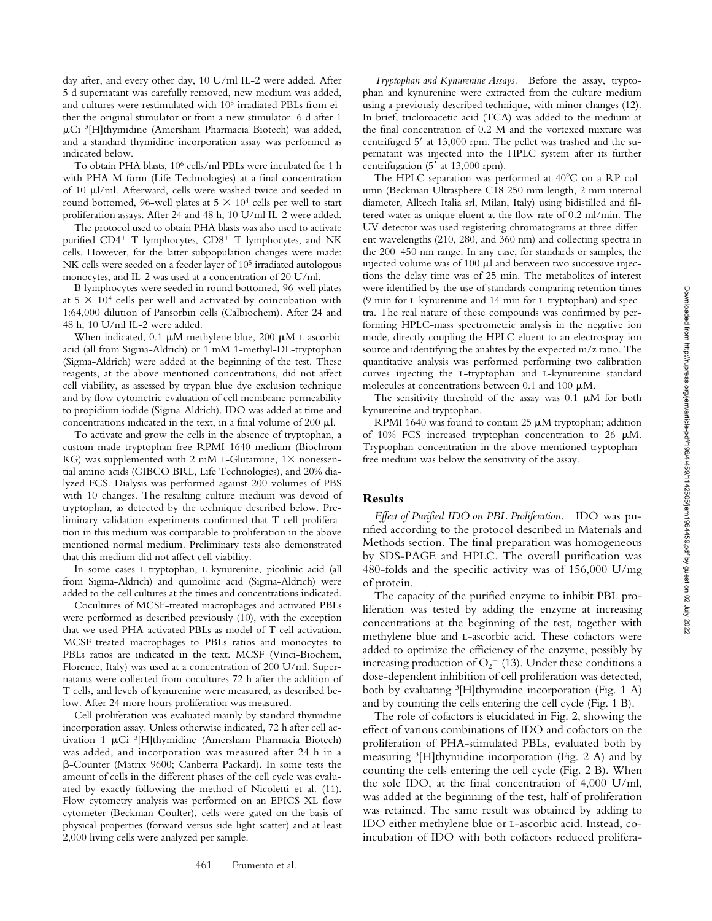day after, and every other day, 10 U/ml IL-2 were added. After 5 d supernatant was carefully removed, new medium was added, and cultures were restimulated with 105 irradiated PBLs from either the original stimulator or from a new stimulator. 6 d after 1 Ci 3[H]thymidine (Amersham Pharmacia Biotech) was added, and a standard thymidine incorporation assay was performed as indicated below.

To obtain PHA blasts, 106 cells/ml PBLs were incubated for 1 h with PHA M form (Life Technologies) at a final concentration of 10 µl/ml. Afterward, cells were washed twice and seeded in round bottomed, 96-well plates at 5  $\times$  10<sup>4</sup> cells per well to start proliferation assays. After 24 and 48 h, 10 U/ml IL-2 were added.

The protocol used to obtain PHA blasts was also used to activate purified CD4<sup>+</sup> T lymphocytes, CD8<sup>+</sup> T lymphocytes, and NK cells. However, for the latter subpopulation changes were made: NK cells were seeded on a feeder layer of 10<sup>5</sup> irradiated autologous monocytes, and IL-2 was used at a concentration of 20 U/ml.

B lymphocytes were seeded in round bottomed, 96-well plates at  $5 \times 10^4$  cells per well and activated by coincubation with 1:64,000 dilution of Pansorbin cells (Calbiochem). After 24 and 48 h, 10 U/ml IL-2 were added.

When indicated,  $0.1 \mu M$  methylene blue,  $200 \mu M$  L-ascorbic acid (all from Sigma-Aldrich) or 1 mM 1-methyl-DL-tryptophan (Sigma-Aldrich) were added at the beginning of the test. These reagents, at the above mentioned concentrations, did not affect cell viability, as assessed by trypan blue dye exclusion technique and by flow cytometric evaluation of cell membrane permeability to propidium iodide (Sigma-Aldrich). IDO was added at time and concentrations indicated in the text, in a final volume of 200  $\mu$ l.

To activate and grow the cells in the absence of tryptophan, a custom-made tryptophan-free RPMI 1640 medium (Biochrom KG) was supplemented with 2 mM L-Glutamine,  $1\times$  nonessential amino acids (GIBCO BRL, Life Technologies), and 20% dialyzed FCS. Dialysis was performed against 200 volumes of PBS with 10 changes. The resulting culture medium was devoid of tryptophan, as detected by the technique described below. Preliminary validation experiments confirmed that T cell proliferation in this medium was comparable to proliferation in the above mentioned normal medium. Preliminary tests also demonstrated that this medium did not affect cell viability.

In some cases L-tryptophan, L-kynurenine, picolinic acid (all from Sigma-Aldrich) and quinolinic acid (Sigma-Aldrich) were added to the cell cultures at the times and concentrations indicated.

Cocultures of MCSF-treated macrophages and activated PBLs were performed as described previously (10), with the exception that we used PHA-activated PBLs as model of T cell activation. MCSF-treated macrophages to PBLs ratios and monocytes to PBLs ratios are indicated in the text. MCSF (Vinci-Biochem, Florence, Italy) was used at a concentration of 200 U/ml. Supernatants were collected from cocultures 72 h after the addition of T cells, and levels of kynurenine were measured, as described below. After 24 more hours proliferation was measured.

Cell proliferation was evaluated mainly by standard thymidine incorporation assay. Unless otherwise indicated, 72 h after cell activation 1  $\mu$ Ci <sup>3</sup>[H]thymidine (Amersham Pharmacia Biotech) was added, and incorporation was measured after 24 h in a -Counter (Matrix 9600; Canberra Packard). In some tests the amount of cells in the different phases of the cell cycle was evaluated by exactly following the method of Nicoletti et al. (11). Flow cytometry analysis was performed on an EPICS XL flow cytometer (Beckman Coulter), cells were gated on the basis of physical properties (forward versus side light scatter) and at least 2,000 living cells were analyzed per sample.

*Tryptophan and Kynurenine Assays.* Before the assay, tryptophan and kynurenine were extracted from the culture medium using a previously described technique, with minor changes (12). In brief, tricloroacetic acid (TCA) was added to the medium at the final concentration of 0.2 M and the vortexed mixture was centrifuged 5' at 13,000 rpm. The pellet was trashed and the supernatant was injected into the HPLC system after its further centrifugation (5' at 13,000 rpm).

The HPLC separation was performed at  $40^{\circ}$ C on a RP column (Beckman Ultrasphere C18 250 mm length, 2 mm internal diameter, Alltech Italia srl, Milan, Italy) using bidistilled and filtered water as unique eluent at the flow rate of 0.2 ml/min. The UV detector was used registering chromatograms at three different wavelengths (210, 280, and 360 nm) and collecting spectra in the 200–450 nm range. In any case, for standards or samples, the injected volume was of  $100 \mu l$  and between two successive injections the delay time was of 25 min. The metabolites of interest were identified by the use of standards comparing retention times (9 min for l-kynurenine and 14 min for l-tryptophan) and spectra. The real nature of these compounds was confirmed by performing HPLC-mass spectrometric analysis in the negative ion mode, directly coupling the HPLC eluent to an electrospray ion source and identifying the analites by the expected m/z ratio. The quantitative analysis was performed performing two calibration curves injecting the L-tryptophan and L-kynurenine standard molecules at concentrations between 0.1 and 100  $\mu$ M.

The sensitivity threshold of the assay was  $0.1 \mu M$  for both kynurenine and tryptophan.

RPMI 1640 was found to contain 25  $\mu$ M tryptophan; addition of 10% FCS increased tryptophan concentration to 26  $\mu$ M. Tryptophan concentration in the above mentioned tryptophanfree medium was below the sensitivity of the assay.

# **Results**

*Effect of Purified IDO on PBL Proliferation.* IDO was purified according to the protocol described in Materials and Methods section. The final preparation was homogeneous by SDS-PAGE and HPLC. The overall purification was 480-folds and the specific activity was of 156,000 U/mg of protein.

The capacity of the purified enzyme to inhibit PBL proliferation was tested by adding the enzyme at increasing concentrations at the beginning of the test, together with methylene blue and L-ascorbic acid. These cofactors were added to optimize the efficiency of the enzyme, possibly by increasing production of  $O_2^-$  (13). Under these conditions a dose-dependent inhibition of cell proliferation was detected, both by evaluating 3[H]thymidine incorporation (Fig. 1 A) and by counting the cells entering the cell cycle (Fig. 1 B).

The role of cofactors is elucidated in Fig. 2, showing the effect of various combinations of IDO and cofactors on the proliferation of PHA-stimulated PBLs, evaluated both by measuring  ${}^{3}$ [H]thymidine incorporation (Fig. 2 A) and by counting the cells entering the cell cycle (Fig. 2 B). When the sole IDO, at the final concentration of 4,000 U/ml, was added at the beginning of the test, half of proliferation was retained. The same result was obtained by adding to IDO either methylene blue or L-ascorbic acid. Instead, coincubation of IDO with both cofactors reduced prolifera-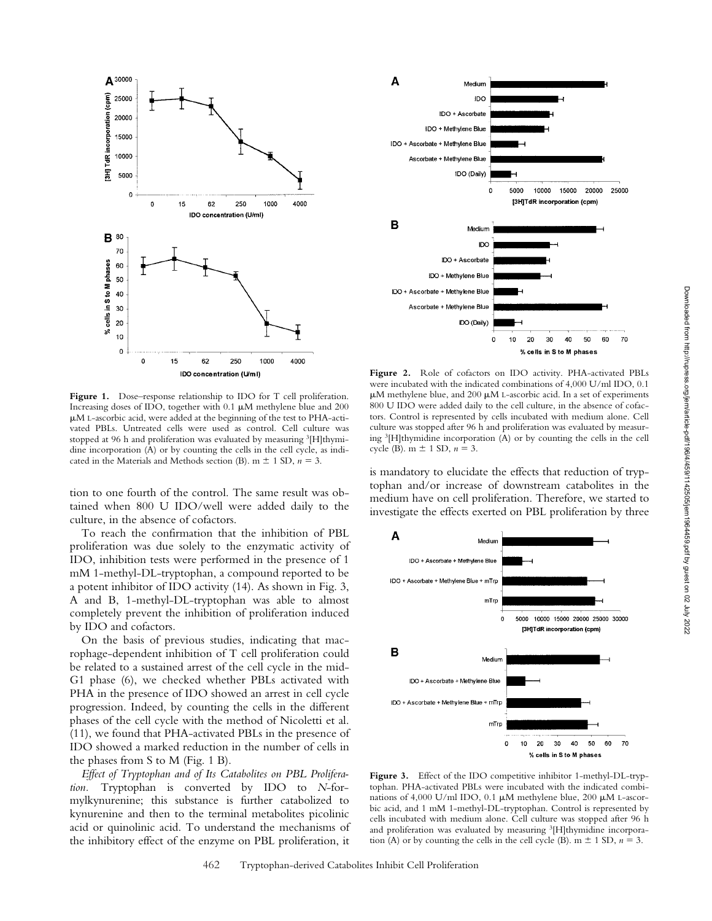

Figure 1. Dose-response relationship to IDO for T cell proliferation. Increasing doses of IDO, together with  $0.1 \mu$ M methylene blue and  $200$ M L-ascorbic acid, were added at the beginning of the test to PHA-activated PBLs. Untreated cells were used as control. Cell culture was stopped at 96 h and proliferation was evaluated by measuring <sup>3</sup>[H]thymidine incorporation (A) or by counting the cells in the cell cycle, as indicated in the Materials and Methods section (B).  $m \pm 1$  SD,  $n = 3$ .

tion to one fourth of the control. The same result was obtained when 800 U IDO/well were added daily to the culture, in the absence of cofactors.

To reach the confirmation that the inhibition of PBL proliferation was due solely to the enzymatic activity of IDO, inhibition tests were performed in the presence of 1 mM 1-methyl-DL-tryptophan, a compound reported to be a potent inhibitor of IDO activity (14). As shown in Fig. 3, A and B, 1-methyl-DL-tryptophan was able to almost completely prevent the inhibition of proliferation induced by IDO and cofactors.

On the basis of previous studies, indicating that macrophage-dependent inhibition of T cell proliferation could be related to a sustained arrest of the cell cycle in the mid-G1 phase (6), we checked whether PBLs activated with PHA in the presence of IDO showed an arrest in cell cycle progression. Indeed, by counting the cells in the different phases of the cell cycle with the method of Nicoletti et al. (11), we found that PHA-activated PBLs in the presence of IDO showed a marked reduction in the number of cells in the phases from S to M (Fig. 1 B).

*Effect of Tryptophan and of Its Catabolites on PBL Proliferation.* Tryptophan is converted by IDO to *N*-formylkynurenine; this substance is further catabolized to kynurenine and then to the terminal metabolites picolinic acid or quinolinic acid. To understand the mechanisms of the inhibitory effect of the enzyme on PBL proliferation, it



**Figure 2.** Role of cofactors on IDO activity. PHA-activated PBLs were incubated with the indicated combinations of 4,000 U/ml IDO, 0.1  $\mu$ M methylene blue, and 200  $\mu$ M L-ascorbic acid. In a set of experiments 800 U IDO were added daily to the cell culture, in the absence of cofactors. Control is represented by cells incubated with medium alone. Cell culture was stopped after 96 h and proliferation was evaluated by measuring 3[H]thymidine incorporation (A) or by counting the cells in the cell cycle (B).  $m \pm 1$  SD,  $n = 3$ .

is mandatory to elucidate the effects that reduction of tryptophan and/or increase of downstream catabolites in the medium have on cell proliferation. Therefore, we started to investigate the effects exerted on PBL proliferation by three



Figure 3. Effect of the IDO competitive inhibitor 1-methyl-DL-tryptophan. PHA-activated PBLs were incubated with the indicated combinations of 4,000 U/ml IDO, 0.1  $\mu$ M methylene blue, 200  $\mu$ M L-ascorbic acid, and 1 mM 1-methyl-DL-tryptophan. Control is represented by cells incubated with medium alone. Cell culture was stopped after 96 h and proliferation was evaluated by measuring <sup>3</sup>[H]thymidine incorporation (A) or by counting the cells in the cell cycle (B).  $m \pm 1$  SD,  $n = 3$ .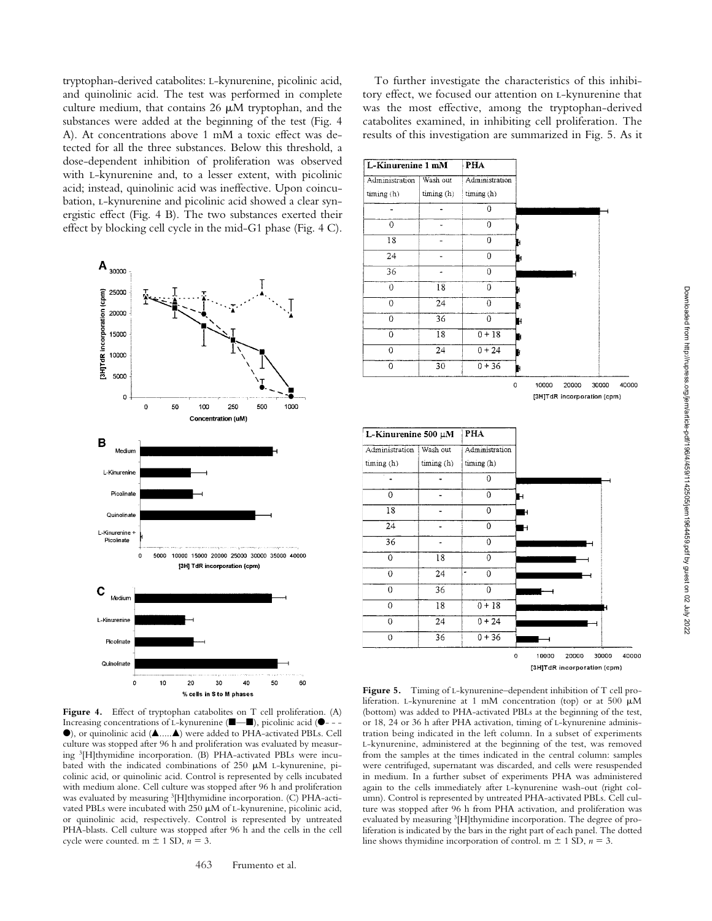tryptophan-derived catabolites: L-kynurenine, picolinic acid, and quinolinic acid. The test was performed in complete culture medium, that contains  $26 \mu M$  tryptophan, and the substances were added at the beginning of the test (Fig. 4 A). At concentrations above 1 mM a toxic effect was detected for all the three substances. Below this threshold, a dose-dependent inhibition of proliferation was observed with L-kynurenine and, to a lesser extent, with picolinic acid; instead, quinolinic acid was ineffective. Upon coincubation, *L*-kynurenine and picolinic acid showed a clear synergistic effect (Fig. 4 B). The two substances exerted their effect by blocking cell cycle in the mid-G1 phase (Fig. 4 C).



Figure 4. Effect of tryptophan catabolites on T cell proliferation. (A) Increasing concentrations of L-kynurenine ( $\blacksquare$ — $\blacksquare$ ), picolinic acid ( $\lozenge$ --- $\bullet$ ), or quinolinic acid ( $\blacktriangle$ ..... $\blacktriangle$ ) were added to PHA-activated PBLs. Cell culture was stopped after 96 h and proliferation was evaluated by measuring 3[H]thymidine incorporation. (B) PHA-activated PBLs were incubated with the indicated combinations of 250  $\mu$ M L-kynurenine, picolinic acid, or quinolinic acid. Control is represented by cells incubated with medium alone. Cell culture was stopped after 96 h and proliferation was evaluated by measuring 3[H]thymidine incorporation. (C) PHA-activated PBLs were incubated with  $250 \mu M$  of L-kynurenine, picolinic acid, or quinolinic acid, respectively. Control is represented by untreated PHA-blasts. Cell culture was stopped after 96 h and the cells in the cell cycle were counted.  $m \pm 1$  SD,  $n = 3$ .

To further investigate the characteristics of this inhibitory effect, we focused our attention on l-kynurenine that was the most effective, among the tryptophan-derived catabolites examined, in inhibiting cell proliferation. The results of this investigation are summarized in Fig. 5. As it



**Figure 5.** Timing of L-kynurenine–dependent inhibition of T cell proliferation. L-kynurenine at 1 mM concentration (top) or at 500  $\mu$ M (bottom) was added to PHA-activated PBLs at the beginning of the test, or 18, 24 or 36 h after PHA activation, timing of L-kynurenine administration being indicated in the left column. In a subset of experiments L-kynurenine, administered at the beginning of the test, was removed from the samples at the times indicated in the central column: samples were centrifuged, supernatant was discarded, and cells were resuspended in medium. In a further subset of experiments PHA was administered again to the cells immediately after L-kynurenine wash-out (right column). Control is represented by untreated PHA-activated PBLs. Cell culture was stopped after 96 h from PHA activation, and proliferation was evaluated by measuring 3[H]thymidine incorporation. The degree of proliferation is indicated by the bars in the right part of each panel. The dotted line shows thymidine incorporation of control.  $m \pm 1$  SD,  $n = 3$ .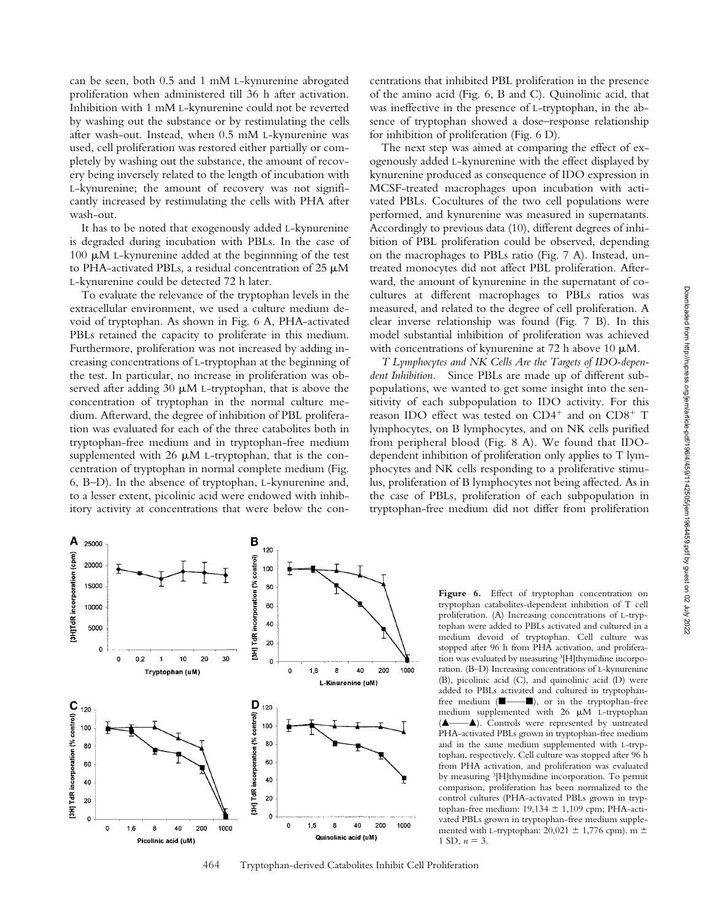can be seen, both 0.5 and 1 mM L-kynurenine abrogated proliferation when administered till 36 h after activation. Inhibition with 1 mM L-kynurenine could not be reverted by washing out the substance or by restimulating the cells after wash-out. Instead, when 0.5 mM L-kynurenine was used, cell proliferation was restored either partially or completely by washing out the substance, the amount of recovery being inversely related to the length of incubation with L-kynurenine; the amount of recovery was not significantly increased by restimulating the cells with PHA after wash-out.

It has to be noted that exogenously added L-kynurenine is degraded during incubation with PBLs. In the case of 100  $\mu$ M L-kynurenine added at the beginnning of the test to PHA-activated PBLs, a residual concentration of 25  $\mu$ M L-kynurenine could be detected 72 h later.

To evaluate the relevance of the tryptophan levels in the extracellular environment, we used a culture medium devoid of tryptophan. As shown in Fig. 6 A, PHA-activated PBLs retained the capacity to proliferate in this medium. Furthermore, proliferation was not increased by adding increasing concentrations of L-tryptophan at the beginning of the test. In particular, no increase in proliferation was observed after adding  $30 \mu M$  L-tryptophan, that is above the concentration of tryptophan in the normal culture medium. Afterward, the degree of inhibition of PBL proliferation was evaluated for each of the three catabolites both in tryptophan-free medium and in tryptophan-free medium supplemented with 26  $\mu$ M L-tryptophan, that is the concentration of tryptophan in normal complete medium (Fig. 6, B–D). In the absence of tryptophan, L-kynurenine and, to a lesser extent, picolinic acid were endowed with inhibitory activity at concentrations that were below the concentrations that inhibited PBL proliferation in the presence of the amino acid (Fig. 6, B and C). Quinolinic acid, that was ineffective in the presence of L-tryptophan, in the absence of tryptophan showed a dose–response relationship for inhibition of proliferation (Fig. 6 D).

The next step was aimed at comparing the effect of exogenously added L-kynurenine with the effect displayed by kynurenine produced as consequence of IDO expression in MCSF-treated macrophages upon incubation with activated PBLs. Cocultures of the two cell populations were performed, and kynurenine was measured in supernatants. Accordingly to previous data (10), different degrees of inhibition of PBL proliferation could be observed, depending on the macrophages to PBLs ratio (Fig. 7 A). Instead, untreated monocytes did not affect PBL proliferation. Afterward, the amount of kynurenine in the supernatant of cocultures at different macrophages to PBLs ratios was measured, and related to the degree of cell proliferation. A clear inverse relationship was found (Fig. 7 B). In this model substantial inhibition of proliferation was achieved with concentrations of kynurenine at 72 h above 10  $\mu$ M.

*T Lymphocytes and NK Cells Are the Targets of IDO-dependent Inhibition.* Since PBLs are made up of different subpopulations, we wanted to get some insight into the sensitivity of each subpopulation to IDO activity. For this reason IDO effect was tested on CD4<sup>+</sup> and on CD8<sup>+</sup> T lymphocytes, on B lymphocytes, and on NK cells purified from peripheral blood (Fig. 8 A). We found that IDOdependent inhibition of proliferation only applies to T lymphocytes and NK cells responding to a proliferative stimulus, proliferation of B lymphocytes not being affected. As in the case of PBLs, proliferation of each subpopulation in tryptophan-free medium did not differ from proliferation



Figure 6. Effect of tryptophan concentration on tryptophan catabolites-dependent inhibition of T cell proliferation. (A) Increasing concentrations of L-tryptophan were added to PBLs activated and cultured in a medium devoid of tryptophan. Cell culture was stopped after 96 h from PHA activation, and proliferation was evaluated by measuring 3[H]thymidine incorporation. (B–D) Increasing concentrations of L-kynurenine (B), picolinic acid (C), and quinolinic acid (D) were added to PBLs activated and cultured in tryptophanfree medium ( $\blacksquare$ — $\blacksquare$ ), or in the tryptophan-free medium supplemented with  $26 \mu M$  L-tryptophan (——). Controls were represented by untreated PHA-activated PBLs grown in tryptophan-free medium and in the same medium supplemented with L-tryptophan, respectively. Cell culture was stopped after 96 h from PHA activation, and proliferation was evaluated by measuring 3[H]thymidine incorporation. To permit comparison, proliferation has been normalized to the control cultures (PHA-activated PBLs grown in tryptophan-free medium:  $19,134 \pm 1,109$  cpm; PHA-activated PBLs grown in tryptophan-free medium supplemented with L-tryptophan:  $20,021 \pm 1,776$  cpm). m  $\pm$ 1 SD,  $n = 3$ .

464 Tryptophan-derived Catabolites Inhibit Cell Proliferation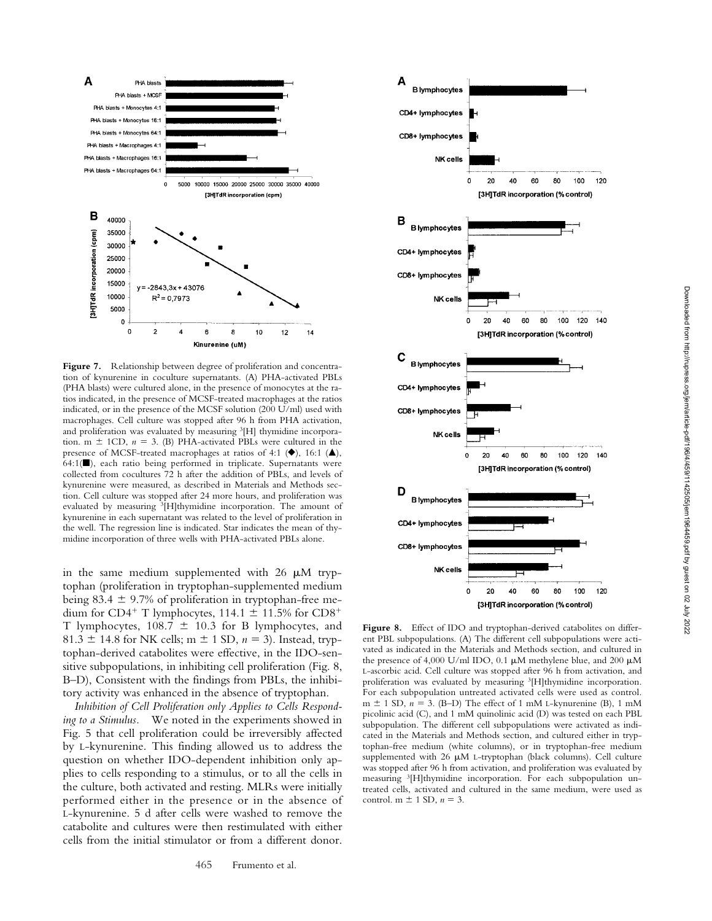

**Figure 7.** Relationship between degree of proliferation and concentration of kynurenine in coculture supernatants. (A) PHA-activated PBLs (PHA blasts) were cultured alone, in the presence of monocytes at the ratios indicated, in the presence of MCSF-treated macrophages at the ratios indicated, or in the presence of the MCSF solution (200 U/ml) used with macrophages. Cell culture was stopped after 96 h from PHA activation, and proliferation was evaluated by measuring  ${}^{3}$ [H] thymidine incorporation.  $m \pm 1CD$ ,  $n = 3$ . (B) PHA-activated PBLs were cultured in the presence of MCSF-treated macrophages at ratios of 4:1 ( $\blacklozenge$ ), 16:1 ( $\blacktriangle$ ), 64:1(), each ratio being performed in triplicate. Supernatants were collected from cocultures 72 h after the addition of PBLs, and levels of kynurenine were measured, as described in Materials and Methods section. Cell culture was stopped after 24 more hours, and proliferation was evaluated by measuring 3[H]thymidine incorporation. The amount of kynurenine in each supernatant was related to the level of proliferation in the well. The regression line is indicated. Star indicates the mean of thymidine incorporation of three wells with PHA-activated PBLs alone.

in the same medium supplemented with  $26 \mu M$  tryptophan (proliferation in tryptophan-supplemented medium being 83.4  $\pm$  9.7% of proliferation in tryptophan-free medium for CD4<sup>+</sup> T lymphocytes,  $114.1 \pm 11.5\%$  for CD8<sup>+</sup> T lymphocytes,  $108.7 \pm 10.3$  for B lymphocytes, and 81.3  $\pm$  14.8 for NK cells; m  $\pm$  1 SD, n = 3). Instead, tryptophan-derived catabolites were effective, in the IDO-sensitive subpopulations, in inhibiting cell proliferation (Fig. 8, B–D), Consistent with the findings from PBLs, the inhibitory activity was enhanced in the absence of tryptophan.

*Inhibition of Cell Proliferation only Applies to Cells Responding to a Stimulus.* We noted in the experiments showed in Fig. 5 that cell proliferation could be irreversibly affected by L-kynurenine. This finding allowed us to address the question on whether IDO-dependent inhibition only applies to cells responding to a stimulus, or to all the cells in the culture, both activated and resting. MLRs were initially performed either in the presence or in the absence of L-kynurenine. 5 d after cells were washed to remove the catabolite and cultures were then restimulated with either cells from the initial stimulator or from a different donor.



Figure 8. Effect of IDO and tryptophan-derived catabolites on different PBL subpopulations. (A) The different cell subpopulations were activated as indicated in the Materials and Methods section, and cultured in the presence of 4,000 U/ml IDO, 0.1  $\mu$ M methylene blue, and 200  $\mu$ M L-ascorbic acid. Cell culture was stopped after 96 h from activation, and proliferation was evaluated by measuring 3[H]thymidine incorporation. For each subpopulation untreated activated cells were used as control.  $m \pm 1$  SD,  $n = 3$ . (B-D) The effect of 1 mM L-kynurenine (B), 1 mM picolinic acid (C), and 1 mM quinolinic acid (D) was tested on each PBL subpopulation. The different cell subpopulations were activated as indicated in the Materials and Methods section, and cultured either in tryptophan-free medium (white columns), or in tryptophan-free medium supplemented with 26  $\mu$ M L-tryptophan (black columns). Cell culture was stopped after 96 h from activation, and proliferation was evaluated by measuring 3[H]thymidine incorporation. For each subpopulation untreated cells, activated and cultured in the same medium, were used as control.  $m \pm 1$  SD,  $n = 3$ .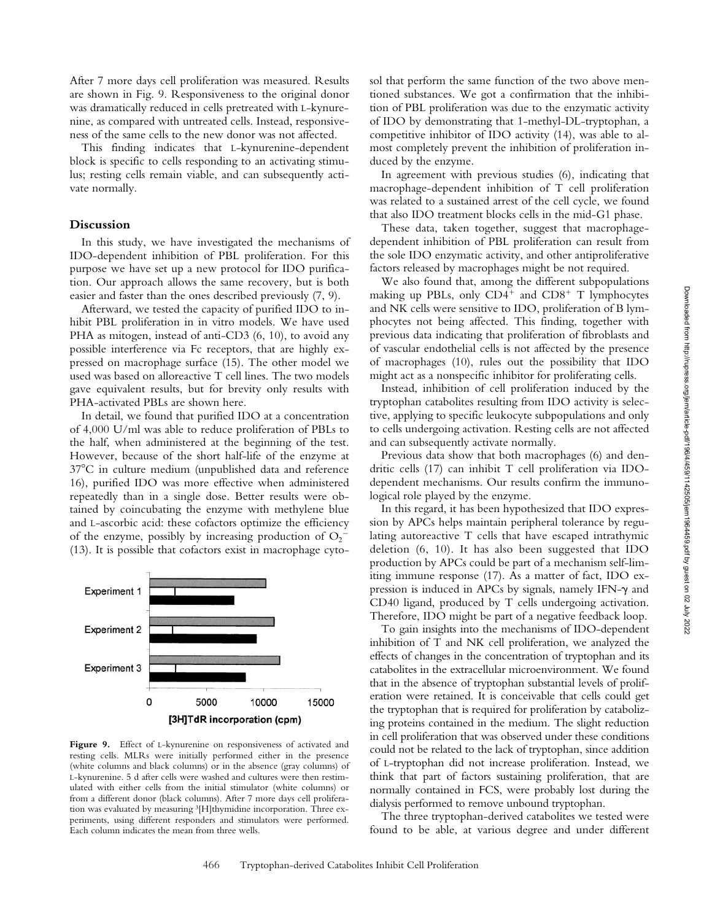After 7 more days cell proliferation was measured. Results are shown in Fig. 9. Responsiveness to the original donor was dramatically reduced in cells pretreated with L-kynurenine, as compared with untreated cells. Instead, responsiveness of the same cells to the new donor was not affected.

This finding indicates that L-kynurenine-dependent block is specific to cells responding to an activating stimulus; resting cells remain viable, and can subsequently activate normally.

# **Discussion**

In this study, we have investigated the mechanisms of IDO-dependent inhibition of PBL proliferation. For this purpose we have set up a new protocol for IDO purification. Our approach allows the same recovery, but is both easier and faster than the ones described previously (7, 9).

Afterward, we tested the capacity of purified IDO to inhibit PBL proliferation in in vitro models. We have used PHA as mitogen, instead of anti-CD3 (6, 10), to avoid any possible interference via Fc receptors, that are highly expressed on macrophage surface (15). The other model we used was based on alloreactive T cell lines. The two models gave equivalent results, but for brevity only results with PHA-activated PBLs are shown here.

In detail, we found that purified IDO at a concentration of 4,000 U/ml was able to reduce proliferation of PBLs to the half, when administered at the beginning of the test. However, because of the short half-life of the enzyme at 37C in culture medium (unpublished data and reference 16), purified IDO was more effective when administered repeatedly than in a single dose. Better results were obtained by coincubating the enzyme with methylene blue and L-ascorbic acid: these cofactors optimize the efficiency of the enzyme, possibly by increasing production of  $O_2$ <sup>-</sup> (13). It is possible that cofactors exist in macrophage cyto-



Figure 9. Effect of L-kynurenine on responsiveness of activated and resting cells. MLRs were initially performed either in the presence (white columns and black columns) or in the absence (gray columns) of L-kynurenine. 5 d after cells were washed and cultures were then restimulated with either cells from the initial stimulator (white columns) or from a different donor (black columns). After 7 more days cell proliferation was evaluated by measuring 3[H]thymidine incorporation. Three experiments, using different responders and stimulators were performed. Each column indicates the mean from three wells.

sol that perform the same function of the two above mentioned substances. We got a confirmation that the inhibition of PBL proliferation was due to the enzymatic activity of IDO by demonstrating that 1-methyl-DL-tryptophan, a competitive inhibitor of IDO activity (14), was able to almost completely prevent the inhibition of proliferation induced by the enzyme.

In agreement with previous studies (6), indicating that macrophage-dependent inhibition of T cell proliferation was related to a sustained arrest of the cell cycle, we found that also IDO treatment blocks cells in the mid-G1 phase.

These data, taken together, suggest that macrophagedependent inhibition of PBL proliferation can result from the sole IDO enzymatic activity, and other antiproliferative factors released by macrophages might be not required.

We also found that, among the different subpopulations making up PBLs, only CD4<sup>+</sup> and CD8<sup>+</sup> T lymphocytes and NK cells were sensitive to IDO, proliferation of B lymphocytes not being affected. This finding, together with previous data indicating that proliferation of fibroblasts and of vascular endothelial cells is not affected by the presence of macrophages (10), rules out the possibility that IDO might act as a nonspecific inhibitor for proliferating cells.

Instead, inhibition of cell proliferation induced by the tryptophan catabolites resulting from IDO activity is selective, applying to specific leukocyte subpopulations and only to cells undergoing activation. Resting cells are not affected and can subsequently activate normally.

Previous data show that both macrophages (6) and dendritic cells (17) can inhibit T cell proliferation via IDOdependent mechanisms. Our results confirm the immunological role played by the enzyme.

In this regard, it has been hypothesized that IDO expression by APCs helps maintain peripheral tolerance by regulating autoreactive T cells that have escaped intrathymic deletion (6, 10). It has also been suggested that IDO production by APCs could be part of a mechanism self-limiting immune response (17). As a matter of fact, IDO expression is induced in APCs by signals, namely  $IFN-\gamma$  and CD40 ligand, produced by T cells undergoing activation. Therefore, IDO might be part of a negative feedback loop.

To gain insights into the mechanisms of IDO-dependent inhibition of T and NK cell proliferation, we analyzed the effects of changes in the concentration of tryptophan and its catabolites in the extracellular microenvironment. We found that in the absence of tryptophan substantial levels of proliferation were retained. It is conceivable that cells could get the tryptophan that is required for proliferation by catabolizing proteins contained in the medium. The slight reduction in cell proliferation that was observed under these conditions could not be related to the lack of tryptophan, since addition of L-tryptophan did not increase proliferation. Instead, we think that part of factors sustaining proliferation, that are normally contained in FCS, were probably lost during the dialysis performed to remove unbound tryptophan.

The three tryptophan-derived catabolites we tested were found to be able, at various degree and under different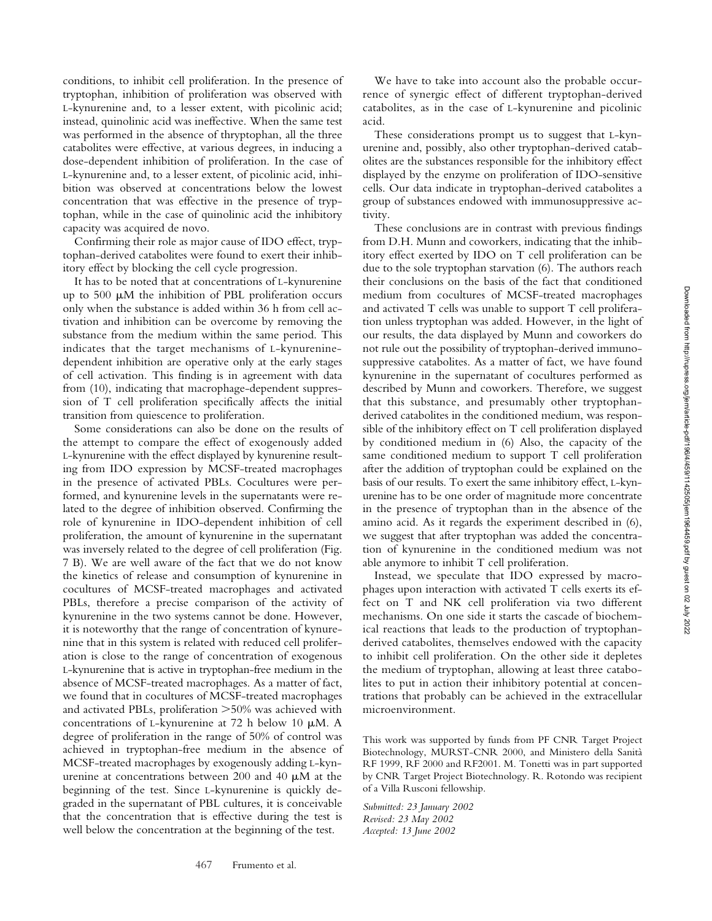conditions, to inhibit cell proliferation. In the presence of tryptophan, inhibition of proliferation was observed with L-kynurenine and, to a lesser extent, with picolinic acid; instead, quinolinic acid was ineffective. When the same test was performed in the absence of thryptophan, all the three catabolites were effective, at various degrees, in inducing a dose-dependent inhibition of proliferation. In the case of L-kynurenine and, to a lesser extent, of picolinic acid, inhibition was observed at concentrations below the lowest concentration that was effective in the presence of tryptophan, while in the case of quinolinic acid the inhibitory capacity was acquired de novo.

Confirming their role as major cause of IDO effect, tryptophan-derived catabolites were found to exert their inhibitory effect by blocking the cell cycle progression.

It has to be noted that at concentrations of L-kynurenine up to  $500 \mu M$  the inhibition of PBL proliferation occurs only when the substance is added within 36 h from cell activation and inhibition can be overcome by removing the substance from the medium within the same period. This indicates that the target mechanisms of L-kynureninedependent inhibition are operative only at the early stages of cell activation. This finding is in agreement with data from (10), indicating that macrophage-dependent suppression of T cell proliferation specifically affects the initial transition from quiescence to proliferation.

Some considerations can also be done on the results of the attempt to compare the effect of exogenously added L-kynurenine with the effect displayed by kynurenine resulting from IDO expression by MCSF-treated macrophages in the presence of activated PBLs. Cocultures were performed, and kynurenine levels in the supernatants were related to the degree of inhibition observed. Confirming the role of kynurenine in IDO-dependent inhibition of cell proliferation, the amount of kynurenine in the supernatant was inversely related to the degree of cell proliferation (Fig. 7 B). We are well aware of the fact that we do not know the kinetics of release and consumption of kynurenine in cocultures of MCSF-treated macrophages and activated PBLs, therefore a precise comparison of the activity of kynurenine in the two systems cannot be done. However, it is noteworthy that the range of concentration of kynurenine that in this system is related with reduced cell proliferation is close to the range of concentration of exogenous L-kynurenine that is active in tryptophan-free medium in the absence of MCSF-treated macrophages. As a matter of fact, we found that in cocultures of MCSF-treated macrophages and activated PBLs, proliferation  $>50\%$  was achieved with concentrations of L-kynurenine at 72 h below 10  $\mu$ M. A degree of proliferation in the range of 50% of control was achieved in tryptophan-free medium in the absence of MCSF-treated macrophages by exogenously adding L-kynurenine at concentrations between 200 and 40  $\mu$ M at the beginning of the test. Since L-kynurenine is quickly degraded in the supernatant of PBL cultures, it is conceivable that the concentration that is effective during the test is well below the concentration at the beginning of the test.

We have to take into account also the probable occurrence of synergic effect of different tryptophan-derived catabolites, as in the case of L-kynurenine and picolinic acid.

These considerations prompt us to suggest that L-kynurenine and, possibly, also other tryptophan-derived catabolites are the substances responsible for the inhibitory effect displayed by the enzyme on proliferation of IDO-sensitive cells. Our data indicate in tryptophan-derived catabolites a group of substances endowed with immunosuppressive activity.

These conclusions are in contrast with previous findings from D.H. Munn and coworkers, indicating that the inhibitory effect exerted by IDO on T cell proliferation can be due to the sole tryptophan starvation (6). The authors reach their conclusions on the basis of the fact that conditioned medium from cocultures of MCSF-treated macrophages and activated T cells was unable to support T cell proliferation unless tryptophan was added. However, in the light of our results, the data displayed by Munn and coworkers do not rule out the possibility of tryptophan-derived immunosuppressive catabolites. As a matter of fact, we have found kynurenine in the supernatant of cocultures performed as described by Munn and coworkers. Therefore, we suggest that this substance, and presumably other tryptophanderived catabolites in the conditioned medium, was responsible of the inhibitory effect on T cell proliferation displayed by conditioned medium in (6) Also, the capacity of the same conditioned medium to support T cell proliferation after the addition of tryptophan could be explained on the basis of our results. To exert the same inhibitory effect, L-kynurenine has to be one order of magnitude more concentrate in the presence of tryptophan than in the absence of the amino acid. As it regards the experiment described in (6), we suggest that after tryptophan was added the concentration of kynurenine in the conditioned medium was not able anymore to inhibit T cell proliferation.

Instead, we speculate that IDO expressed by macrophages upon interaction with activated T cells exerts its effect on T and NK cell proliferation via two different mechanisms. On one side it starts the cascade of biochemical reactions that leads to the production of tryptophanderived catabolites, themselves endowed with the capacity to inhibit cell proliferation. On the other side it depletes the medium of tryptophan, allowing at least three catabolites to put in action their inhibitory potential at concentrations that probably can be achieved in the extracellular microenvironment.

This work was supported by funds from PF CNR Target Project Biotechnology, MURST-CNR 2000, and Ministero della Sanità RF 1999, RF 2000 and RF2001. M. Tonetti was in part supported by CNR Target Project Biotechnology. R. Rotondo was recipient of a Villa Rusconi fellowship.

*Submitted: 23 January 2002 Revised: 23 May 2002 Accepted: 13 June 2002*